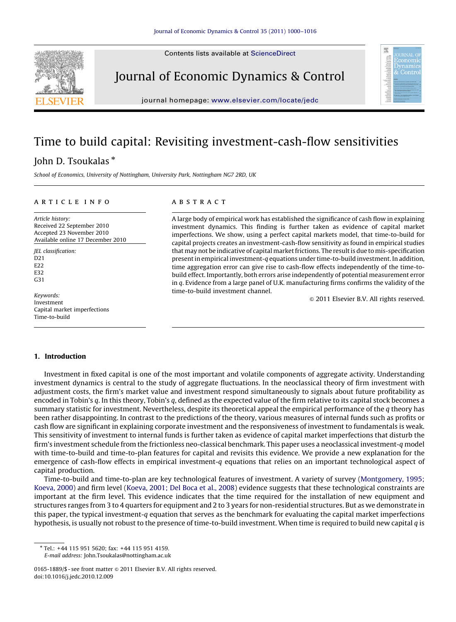Contents lists available at ScienceDirect



Journal of Economic Dynamics & Control



journal homepage: <www.elsevier.com/locate/jedc>

## Time to build capital: Revisiting investment-cash-flow sensitivities

### John D. Tsoukalas  $^\ast$

School of Economics, University of Nottingham, University Park, Nottingham NG7 2RD, UK

#### article info

Article history: Received 22 September 2010 Accepted 23 November 2010 Available online 17 December 2010

JEL classification: D21 E22 E32 G31

Keywords: Investment Capital market imperfections Time-to-build

#### **ABSTRACT**

A large body of empirical work has established the significance of cash flow in explaining investment dynamics. This finding is further taken as evidence of capital market imperfections. We show, using a perfect capital markets model, that time-to-build for capital projects creates an investment-cash-flow sensitivity as found in empirical studies that may not be indicative of capital market frictions. The result is due to mis-specification present in empirical investment-q equations under time-to-build investment. In addition, time aggregation error can give rise to cash-flow effects independently of the time-tobuild effect. Importantly, both errors arise independently of potential measurement error in q. Evidence from a large panel of U.K. manufacturing firms confirms the validity of the time-to-build investment channel.

 $\odot$  2011 Elsevier B.V. All rights reserved.

#### 1. Introduction

Investment in fixed capital is one of the most important and volatile components of aggregate activity. Understanding investment dynamics is central to the study of aggregate fluctuations. In the neoclassical theory of firm investment with adjustment costs, the firm's market value and investment respond simultaneously to signals about future profitability as encoded in Tobin's q. In this theory, Tobin's q, defined as the expected value of the firm relative to its capital stock becomes a summary statistic for investment. Nevertheless, despite its theoretical appeal the empirical performance of the q theory has been rather disappointing. In contrast to the predictions of the theory, various measures of internal funds such as profits or cash flow are significant in explaining corporate investment and the responsiveness of investment to fundamentals is weak. This sensitivity of investment to internal funds is further taken as evidence of capital market imperfections that disturb the firm's investment schedule from the frictionless neo-classical benchmark. This paper uses a neoclassical investment-q model with time-to-build and time-to-plan features for capital and revisits this evidence. We provide a new explanation for the emergence of cash-flow effects in empirical investment- $q$  equations that relies on an important technological aspect of capital production.

Time-to-build and time-to-plan are key technological features of investment. A variety of survey ([Montgomery, 1995;](#page--1-0) [Koeva, 2000](#page--1-0)) and firm level [\(Koeva, 2001; Del Boca et al., 2008](#page--1-0)) evidence suggests that these technological constraints are important at the firm level. This evidence indicates that the time required for the installation of new equipment and structures ranges from 3 to 4 quarters for equipment and 2 to 3 years for non-residential structures. But as we demonstrate in this paper, the typical investment-q equation that serves as the benchmark for evaluating the capital market imperfections hypothesis, is usually not robust to the presence of time-to-build investment. When time is required to build new capital q is

- Tel.: +44 115 951 5620; fax: +44 115 951 4159.

E-mail address: [John.Tsoukalas@nottingham.ac.uk](mailto:John.Tsoukalas@nottingham.ac.uk)

<sup>0165-1889/\$ -</sup> see front matter  $\odot$  2011 Elsevier B.V. All rights reserved. doi:[10.1016/j.jedc.2010.12.009](dx.doi.org/10.1016/j.jedc.2010.12.009)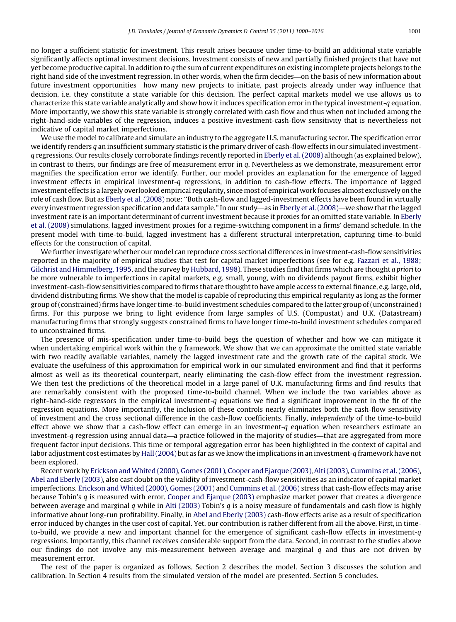no longer a sufficient statistic for investment. This result arises because under time-to-build an additional state variable significantly affects optimal investment decisions. Investment consists of new and partially finished projects that have not yet become productive capital. In addition to q the sum of current expenditures on existing incomplete projects belongs to the right hand side of the investment regression. In other words, when the firm decides—on the basis of new information about future investment opportunities—how many new projects to initiate, past projects already under way influence that decision, i.e. they constitute a state variable for this decision. The perfect capital markets model we use allows us to characterize this state variable analytically and show how it induces specification error in the typical investment-q equation. More importantly, we show this state variable is strongly correlated with cash flow and thus when not included among the right-hand-side variables of the regression, induces a positive investment-cash-flow sensitivity that is nevertheless not indicative of capital market imperfections.

We use the model to calibrate and simulate an industry to the aggregate U.S. manufacturing sector. The specification error we identify renders q an insufficient summary statistic is the primary driver of cash-flow effects in our simulated investmentq regressions. Our results closely corroborate findings recently reported in [Eberly et al. \(2008\)](#page--1-0) although (as explained below), in contrast to theirs, our findings are free of measurement error in  $q$ . Nevertheless as we demonstrate, measurement error magnifies the specification error we identify. Further, our model provides an explanation for the emergence of lagged investment effects in empirical investment-q regressions, in addition to cash-flow effects. The importance of lagged investment effects is a largely overlooked empirical regularity, since most of empirical work focuses almost exclusively on the role of cash flow. But as [Eberly et al. \(2008\)](#page--1-0) note: ''Both cash-flow and lagged-investment effects have been found in virtually every investment regression specification and data sample.'' In our study—as in [Eberly et al. \(2008\)](#page--1-0)—we show that the lagged investment rate is an important determinant of current investment because it proxies for an omitted state variable. In [Eberly](#page--1-0) [et al. \(2008\)](#page--1-0) simulations, lagged investment proxies for a regime-switching component in a firms' demand schedule. In the present model with time-to-build, lagged investment has a different structural interpretation, capturing time-to-build effects for the construction of capital.

We further investigate whether our model can reproduce cross sectional differences in investment-cash-flow sensitivities reported in the majority of empirical studies that test for capital market imperfections (see for e.g. [Fazzari et al., 1988;](#page--1-0) [Gilchrist and Himmelberg, 1995](#page--1-0), and the survey by [Hubbard, 1998\)](#page--1-0). These studies find that firms which are thought a priorito be more vulnerable to imperfections in capital markets, e.g. small, young, with no dividends payout firms, exhibit higher investment-cash-flow sensitivities compared to firms that are thought to have ample access to external finance, e.g. large, old, dividend distributing firms. We show that the model is capable of reproducing this empirical regularity as long as the former group of (constrained) firms have longer time-to-build investment schedules compared to the latter group of (unconstrained) firms. For this purpose we bring to light evidence from large samples of U.S. (Compustat) and U.K. (Datastream) manufacturing firms that strongly suggests constrained firms to have longer time-to-build investment schedules compared to unconstrained firms.

The presence of mis-specification under time-to-build begs the question of whether and how we can mitigate it when undertaking empirical work within the  $q$  framework. We show that we can approximate the omitted state variable with two readily available variables, namely the lagged investment rate and the growth rate of the capital stock. We evaluate the usefulness of this approximation for empirical work in our simulated environment and find that it performs almost as well as its theoretical counterpart, nearly eliminating the cash-flow effect from the investment regression. We then test the predictions of the theoretical model in a large panel of U.K. manufacturing firms and find results that are remarkably consistent with the proposed time-to-build channel. When we include the two variables above as right-hand-side regressors in the empirical investment- $q$  equations we find a significant improvement in the fit of the regression equations. More importantly, the inclusion of these controls nearly eliminates both the cash-flow sensitivity of investment and the cross sectional difference in the cash-flow coefficients. Finally, independently of the time-to-build effect above we show that a cash-flow effect can emerge in an investment-q equation when researchers estimate an investment-q regression using annual data—a practice followed in the majority of studies—that are aggregated from more frequent factor input decisions. This time or temporal aggregation error has been highlighted in the context of capital and labor adjustment cost estimates by [Hall \(2004\)](#page--1-0) but as far as we know the implications in an investment-q framework have not been explored.

Recent work by [Erickson and Whited \(2000\),](#page--1-0) [Gomes \(2001\),](#page--1-0) [Cooper and Ejarque \(2003\),](#page--1-0) [Alti \(2003\),](#page--1-0) [Cummins et al. \(2006\)](#page--1-0), [Abel and Eberly \(2003\),](#page--1-0) also cast doubt on the validity of investment-cash-flow sensitivities as an indicator of capital market imperfections. [Erickson and Whited \(2000\)](#page--1-0), [Gomes \(2001\)](#page--1-0) and [Cummins et al. \(2006\)](#page--1-0) stress that cash-flow effects may arise because Tobin's q is measured with error. [Cooper and Ejarque \(2003\)](#page--1-0) emphasize market power that creates a divergence between average and marginal q while in [Alti \(2003\)](#page--1-0) Tobin's q is a noisy measure of fundamentals and cash flow is highly informative about long-run profitability. Finally, in [Abel and Eberly \(2003\)](#page--1-0) cash-flow effects arise as a result of specification error induced by changes in the user cost of capital. Yet, our contribution is rather different from all the above. First, in timeto-build, we provide a new and important channel for the emergence of significant cash-flow effects in investment-q regressions. Importantly, this channel receives considerable support from the data. Second, in contrast to the studies above our findings do not involve any mis-measurement between average and marginal  $q$  and thus are not driven by measurement error.

The rest of the paper is organized as follows. Section 2 describes the model. Section 3 discusses the solution and calibration. In Section 4 results from the simulated version of the model are presented. Section 5 concludes.